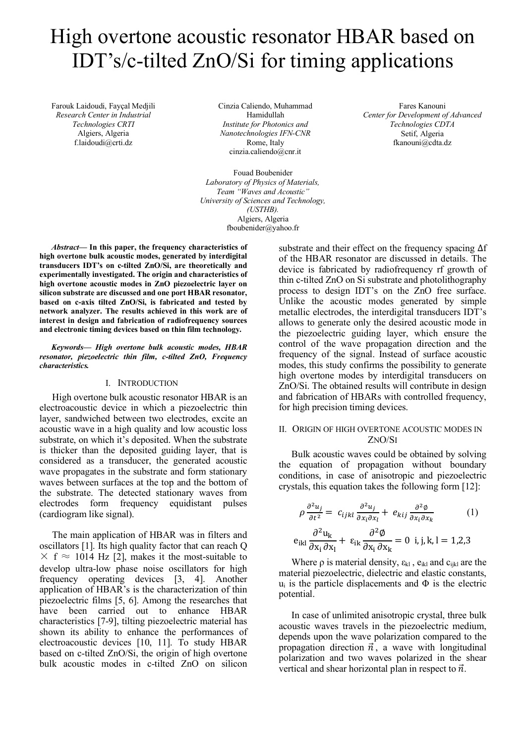# High overtone acoustic resonator HBAR based on IDT's/c-tilted ZnO/Si for timing applications

Farouk Laidoudi, Fayçal Medjili *Research Center in Industrial Technologies CRTI* Algiers, Algeria f.laidoudi@crti.dz

Cinzia Caliendo, Muhammad Hamidullah *Institute for Photonics and Nanotechnologies IFN-CNR* Rome, Italy cinzia.caliendo@cnr.it

Fouad Boubenider *Laboratory of Physics of Materials, Team "Waves and Acoustic" University of Sciences and Technology, (USTHB).* Algiers, Algeria fboubenider@yahoo.fr

Fares Kanouni *Center for Development of Advanced Technologies CDTA* Setif, Algeria fkanouni@cdta.dz

*Abstract***— In this paper, the frequency characteristics of high overtone bulk acoustic modes, generated by interdigital transducers IDT's on c-tilted ZnO/Si, are theoretically and experimentally investigated. The origin and characteristics of high overtone acoustic modes in ZnO piezoelectric layer on silicon substrate are discussed and one port HBAR resonator, based on c-axis tilted ZnO/Si, is fabricated and tested by network analyzer. The results achieved in this work are of interest in design and fabrication of radiofrequency sources and electronic timing devices based on thin film technology.**

*Keywords— High overtone bulk acoustic modes, HBAR resonator, piezoelectric thin film, c-tilted ZnO, Frequency characteristics.*

### I. INTRODUCTION

High overtone bulk acoustic resonator HBAR is an electroacoustic device in which a piezoelectric thin layer, sandwiched between two electrodes, excite an acoustic wave in a high quality and low acoustic loss substrate, on which it's deposited. When the substrate is thicker than the deposited guiding layer, that is considered as a transducer, the generated acoustic wave propagates in the substrate and form stationary waves between surfaces at the top and the bottom of the substrate. The detected stationary waves from electrodes form frequency equidistant pulses (cardiogram like signal).

The main application of HBAR was in filters and oscillators [1]. Its high quality factor that can reach Q  $\times$  f  $\approx$  1014 Hz [2], makes it the most-suitable to develop ultra-low phase noise oscillators for high frequency operating devices [3, 4]. Another application of HBAR's is the characterization of thin piezoelectric films [5, 6]. Among the researches that have been carried out to enhance HBAR characteristics [7-9], tilting piezoelectric material has shown its ability to enhance the performances of electroacoustic devices [10, 11]. To study HBAR based on c-tilted ZnO/Si, the origin of high overtone bulk acoustic modes in c-tilted ZnO on silicon

substrate and their effect on the frequency spacing Δf of the HBAR resonator are discussed in details. The device is fabricated by radiofrequency rf growth of thin c-tilted ZnO on Si substrate and photolithography process to design IDT's on the ZnO free surface. Unlike the acoustic modes generated by simple metallic electrodes, the interdigital transducers IDT's allows to generate only the desired acoustic mode in the piezoelectric guiding layer, which ensure the control of the wave propagation direction and the frequency of the signal. Instead of surface acoustic modes, this study confirms the possibility to generate high overtone modes by interdigital transducers on ZnO/Si. The obtained results will contribute in design and fabrication of HBARs with controlled frequency, for high precision timing devices.

## II. ORIGIN OF HIGH OVERTONE ACOUSTIC MODES IN ZNO/SI

Bulk acoustic waves could be obtained by solving the equation of propagation without boundary conditions, in case of anisotropic and piezoelectric crystals, this equation takes the following form [12]:

$$
\rho \frac{\partial^2 u_j}{\partial t^2} = c_{ijkl} \frac{\partial^2 u_j}{\partial x_i \partial x_l} + e_{kij} \frac{\partial^2 \phi}{\partial x_i \partial x_k}
$$
(1)  

$$
e_{ikl} \frac{\partial^2 u_k}{\partial x_i \partial x_l} + \varepsilon_{ik} \frac{\partial^2 \phi}{\partial x_i \partial x_k} = 0 \text{ i, j, k, l = 1, 2, 3}
$$

Where  $\rho$  is material density,  $\varepsilon_{kl}$ ,  $e_{ikl}$  and  $c_{ijkl}$  are the material piezoelectric, dielectric and elastic constants,  $u_i$  is the particle displacements and  $\Phi$  is the electric potential.

In case of unlimited anisotropic crystal, three bulk acoustic waves travels in the piezoelectric medium, depends upon the wave polarization compared to the propagation direction  $\vec{n}$ , a wave with longitudinal polarization and two waves polarized in the shear vertical and shear horizontal plan in respect to  $\vec{n}$ .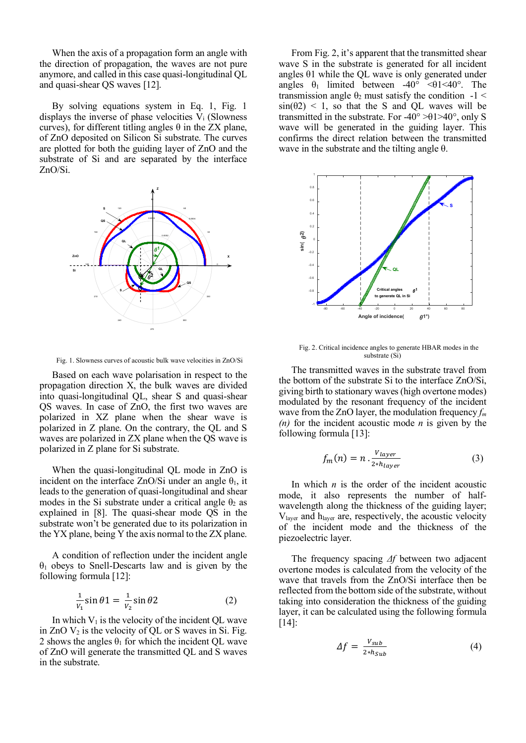When the axis of a propagation form an angle with the direction of propagation, the waves are not pure anymore, and called in this case quasi-longitudinal QL and quasi-shear QS waves [12].

By solving equations system in Eq. 1, Fig. 1 displays the inverse of phase velocities  $V_i$  (Slowness curves), for different titling angles  $\theta$  in the ZX plane, of ZnO deposited on Silicon Si substrate. The curves are plotted for both the guiding layer of ZnO and the substrate of Si and are separated by the interface ZnO/Si.





Based on each wave polarisation in respect to the propagation direction X, the bulk waves are divided into quasi-longitudinal QL, shear S and quasi-shear QS waves. In case of ZnO, the first two waves are polarized in XZ plane when the shear wave is polarized in Z plane. On the contrary, the QL and S waves are polarized in ZX plane when the QS wave is polarized in Z plane for Si substrate.

When the quasi-longitudinal QL mode in ZnO is incident on the interface ZnO/Si under an angle  $\theta_1$ , it leads to the generation of quasi-longitudinal and shear modes in the Si substrate under a critical angle  $\theta_2$  as explained in [8]. The quasi-shear mode QS in the substrate won't be generated due to its polarization in the YX plane, being Y the axis normal to the ZX plane.

A condition of reflection under the incident angle  $\theta_1$  obeys to Snell-Descarts law and is given by the following formula [12]:

$$
\frac{1}{v_1}\sin\theta 1 = \frac{1}{v_2}\sin\theta 2\tag{2}
$$

In which  $V_1$  is the velocity of the incident QL wave in  $ZnO$   $V_2$  is the velocity of QL or S waves in Si. Fig. 2 shows the angles  $\theta_1$  for which the incident QL wave of ZnO will generate the transmitted QL and S waves in the substrate.

From Fig. 2, it's apparent that the transmitted shear wave S in the substrate is generated for all incident angles  $\theta$ 1 while the QL wave is only generated under angles  $\theta_1$  limited between -40° < 01<40°. The transmission angle  $\theta_2$  must satisfy the condition -1 <  $sin(\theta^2)$  < 1, so that the S and OL waves will be transmitted in the substrate. For -40 $\degree$  >01>40 $\degree$ , only S wave will be generated in the guiding layer. This confirms the direct relation between the transmitted wave in the substrate and the tilting angle θ.



Fig. 2. Critical incidence angles to generate HBAR modes in the substrate (Si)

The transmitted waves in the substrate travel from the bottom of the substrate Si to the interface ZnO/Si, giving birth to stationary waves (high overtone modes) modulated by the resonant frequency of the incident wave from the ZnO layer, the modulation frequency *fm (n)* for the incident acoustic mode *n* is given by the following formula [13]:

$$
f_m(n) = n \cdot \frac{V_{layer}}{2 * h_{layer}} \tag{3}
$$

In which  $n$  is the order of the incident acoustic mode, it also represents the number of halfwavelength along the thickness of the guiding layer; Vlayer and hlayer are, respectively, the acoustic velocity of the incident mode and the thickness of the piezoelectric layer.

The frequency spacing *Δf* between two adjacent overtone modes is calculated from the velocity of the wave that travels from the ZnO/Si interface then be reflected from the bottom side of the substrate, without taking into consideration the thickness of the guiding layer, it can be calculated using the following formula [14]:

$$
\Delta f = \frac{V_{sub}}{2 * h_{Sub}} \tag{4}
$$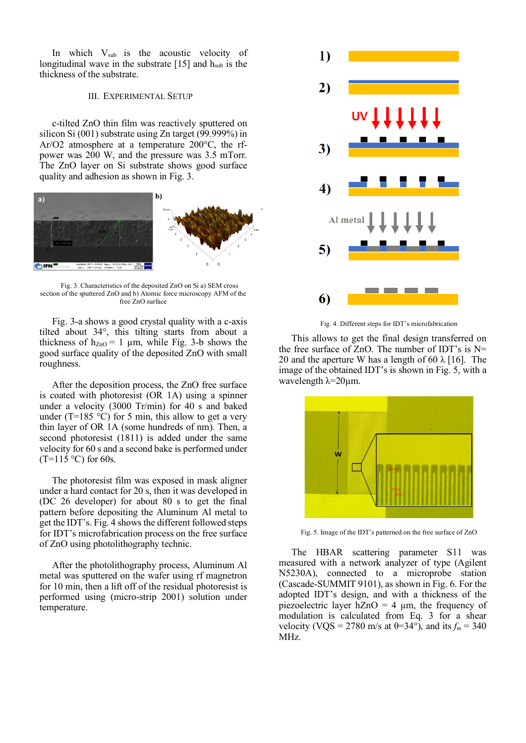In which  $V_{sub}$  is the acoustic velocity of longitudinal wave in the substrate  $[15]$  and  $h<sub>sub</sub>$  is the thickness of the substrate.

### III. EXPERIMENTAL SETUP

c-tilted ZnO thin film was reactively sputtered on silicon Si (001) substrate using Zn target (99.999%) in Ar/O2 atmosphere at a temperature 200°C, the rfpower was 200 W, and the pressure was 3.5 mTorr. The ZnO layer on Si substrate shows good surface quality and adhesion as shown in Fig. 3.



Fig. 3. Characteristics of the deposited ZnO on Si a) SEM cross section of the sputtered ZnO and b) Atomic force microscopy AFM of the free ZnO surface

Fig. 3-a shows a good crystal quality with a c-axis tilted about 34°, this tilting starts from about a thickness of  $h_{ZnO} = 1 \mu m$ , while Fig. 3-b shows the good surface quality of the deposited ZnO with small roughness.

After the deposition process, the ZnO free surface is coated with photoresist (OR 1A) using a spinner under a velocity (3000 Tr/min) for 40 s and baked under (T=185  $\degree$ C) for 5 min, this allow to get a very thin layer of OR 1A (some hundreds of nm). Then, a second photoresist (1811) is added under the same velocity for 60 s and a second bake is performed under  $(T=115 \degree C)$  for 60s.

The photoresist film was exposed in mask aligner under a hard contact for 20 s, then it was developed in (DC 26 developer) for about 80 s to get the final pattern before depositing the Aluminum Al metal to get the IDT's. Fig. 4 shows the different followed steps for IDT's microfabrication process on the free surface of ZnO using photolithography technic.

After the photolithography process, Aluminum Al metal was sputtered on the wafer using rf magnetron for 10 min, then a lift off of the residual photoresist is performed using (micro-strip 2001) solution under temperature.



Fig. 4. Different steps for IDT's microfabrication

This allows to get the final design transferred on the free surface of ZnO. The number of IDT's is  $N=$ 20 and the aperture W has a length of 60  $\lambda$  [16]. The image of the obtained IDT's is shown in Fig. 5, with a wavelength  $λ=20μ$ m.



Fig. 5. Image of the IDT's patterned on the free surface of ZnO

The HBAR scattering parameter S11 was measured with a network analyzer of type (Agilent N5230A), connected to a microprobe station (Cascade-SUMMIT 9101), as shown in Fig. 6. For the adopted IDT's design, and with a thickness of the piezoelectric layer  $hZnO = 4 \mu m$ , the frequency of modulation is calculated from Eq. 3 for a shear velocity (VQS = 2780 m/s at  $\theta$ =34°), and its  $f_m$  = 340 MHz.